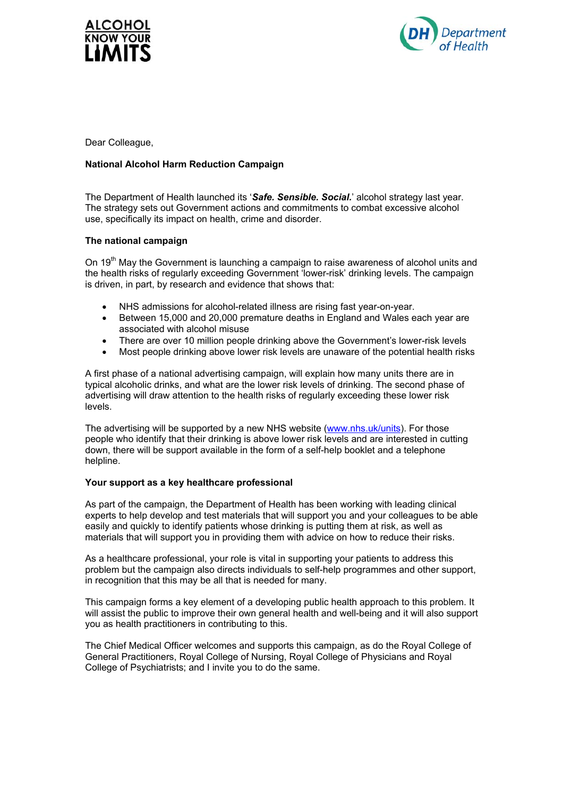



Dear Colleague,

## **National Alcohol Harm Reduction Campaign**

The Department of Health launched its '*Safe. Sensible. Social.*' alcohol strategy last year. The strategy sets out Government actions and commitments to combat excessive alcohol use, specifically its impact on health, crime and disorder.

## **The national campaign**

On 19<sup>th</sup> May the Government is launching a campaign to raise awareness of alcohol units and the health risks of regularly exceeding Government 'lower-risk' drinking levels. The campaign is driven, in part, by research and evidence that shows that:

- NHS admissions for alcohol-related illness are rising fast year-on-year.
- Between 15,000 and 20,000 premature deaths in England and Wales each year are associated with alcohol misuse
- There are over 10 million people drinking above the Government's lower-risk levels
- Most people drinking above lower risk levels are unaware of the potential health risks

A first phase of a national advertising campaign, will explain how many units there are in typical alcoholic drinks, and what are the lower risk levels of drinking. The second phase of advertising will draw attention to the health risks of regularly exceeding these lower risk levels.

The advertising will be supported by a new NHS website ([www.nhs.uk/units](http://www.nhs.uk/units)). For those people who identify that their drinking is above lower risk levels and are interested in cutting down, there will be support available in the form of a self-help booklet and a telephone helpline.

## **Your support as a key healthcare professional**

As part of the campaign, the Department of Health has been working with leading clinical experts to help develop and test materials that will support you and your colleagues to be able easily and quickly to identify patients whose drinking is putting them at risk, as well as materials that will support you in providing them with advice on how to reduce their risks.

As a healthcare professional, your role is vital in supporting your patients to address this problem but the campaign also directs individuals to self-help programmes and other support, in recognition that this may be all that is needed for many.

This campaign forms a key element of a developing public health approach to this problem. It will assist the public to improve their own general health and well-being and it will also support you as health practitioners in contributing to this.

The Chief Medical Officer welcomes and supports this campaign, as do the Royal College of General Practitioners, Royal College of Nursing, Royal College of Physicians and Royal College of Psychiatrists; and I invite you to do the same.